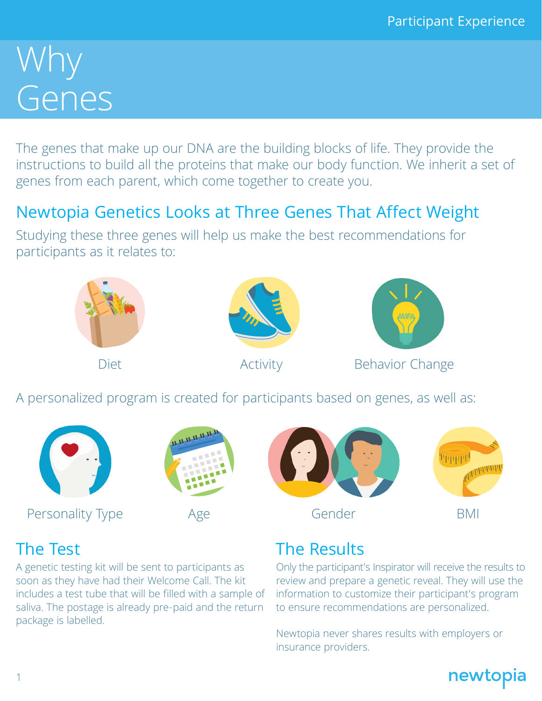# Why Genes

The genes that make up our DNA are the building blocks of life. They provide the instructions to build all the proteins that make our body function. We inherit a set of genes from each parent, which come together to create you.

## Newtopia Genetics Looks at Three Genes That Affect Weight

Studying these three genes will help us make the best recommendations for participants as it relates to:



Personality Type Age Gender BMI





Only the participant's Inspirator will receive the results to review and prepare a genetic reveal. They will use the information to customize their participant's program to ensure recommendations are personalized.

Newtopia never shares results with employers or insurance providers.



A genetic testing kit will be sent to participants as soon as they have had their Welcome Call. The kit includes a test tube that will be filled with a sample of saliva. The postage is already pre-paid and the return package is labelled.